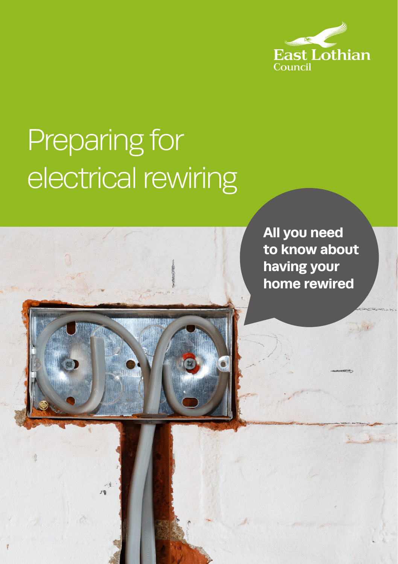

# Preparing for electrical rewiring



**All you need to know about having your home rewired**

1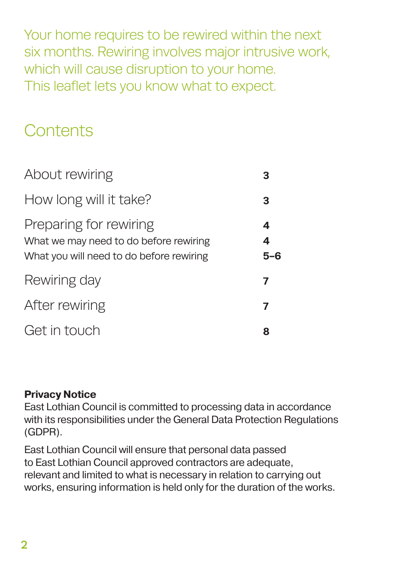Your home requires to be rewired within the next six months. Rewiring involves major intrusive work, which will cause disruption to your home. This leaflet lets you know what to expect.

### **Contents**

| About rewiring                                                                                               |                       |
|--------------------------------------------------------------------------------------------------------------|-----------------------|
| How long will it take?                                                                                       | 3                     |
| Preparing for rewiring<br>What we may need to do before rewiring<br>What you will need to do before rewiring | 4<br>$\boldsymbol{4}$ |
| Rewiring day                                                                                                 | 7                     |
| After rewiring                                                                                               | 7                     |
| Get in touch                                                                                                 | 8                     |

#### **Privacy Notice**

East Lothian Council is committed to processing data in accordance with its responsibilities under the General Data Protection Regulations (GDPR).

East Lothian Council will ensure that personal data passed to East Lothian Council approved contractors are adequate, relevant and limited to what is necessary in relation to carrying out works, ensuring information is held only for the duration of the works.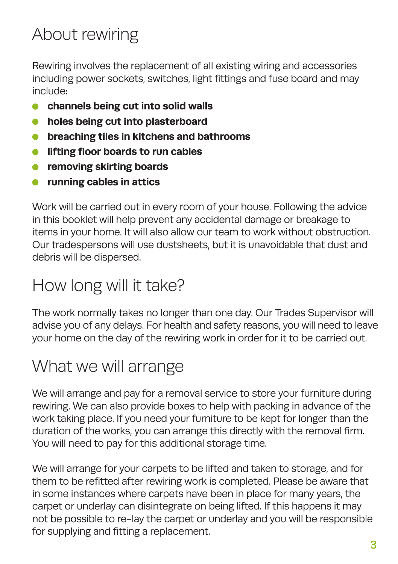# About rewiring

Rewiring involves the replacement of all existing wiring and accessories including power sockets, switches, light fittings and fuse board and may include:

- **channels being cut into solid walls**
- **•** holes being cut into plasterboard
- **breaching tiles in kitchens and bathrooms**
- **lifting floor boards to run cables**
- **•** removing skirting boards
- **running cables in attics**

Work will be carried out in every room of your house. Following the advice in this booklet will help prevent any accidental damage or breakage to items in your home. It will also allow our team to work without obstruction. Our tradespersons will use dustsheets, but it is unavoidable that dust and debris will be dispersed.

### How long will it take?

The work normally takes no longer than one day. Our Trades Supervisor will advise you of any delays. For health and safety reasons, you will need to leave your home on the day of the rewiring work in order for it to be carried out.

### What we will arrange

We will arrange and pay for a removal service to store your furniture during rewiring. We can also provide boxes to help with packing in advance of the work taking place. If you need your furniture to be kept for longer than the duration of the works, you can arrange this directly with the removal firm. You will need to pay for this additional storage time.

We will arrange for your carpets to be lifted and taken to storage, and for them to be refitted after rewiring work is completed. Please be aware that in some instances where carpets have been in place for many years, the carpet or underlay can disintegrate on being lifted. If this happens it may not be possible to re-lay the carpet or underlay and you will be responsible for supplying and fitting a replacement.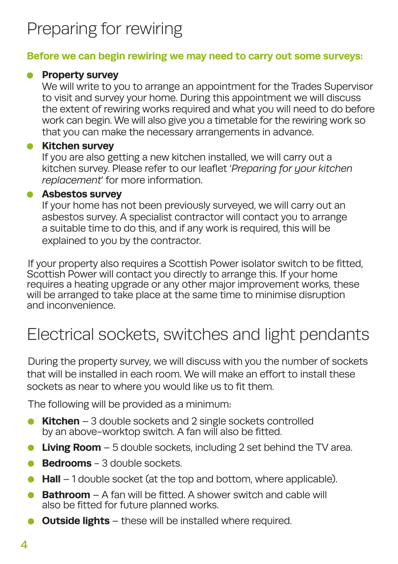# Preparing for rewiring

#### **Before we can begin rewiring we may need to carry out some surveys:**

#### **• Property survey**

We will write to you to arrange an appointment for the Trades Supervisor to visit and survey your home. During this appointment we will discuss the extent of rewiring works required and what you will need to do before work can begin. We will also give you a timetable for the rewiring work so that you can make the necessary arrangements in advance.

#### **Kitchen survey**

If you are also getting a new kitchen installed, we will carry out a kitchen survey. Please refer to our leaflet '*Preparing for your kitchen replacement*' for more information.

#### **Asbestos survey**

If your home has not been previously surveyed, we will carry out an asbestos survey. A specialist contractor will contact you to arrange a suitable time to do this, and if any work is required, this will be explained to you by the contractor.

If your property also requires a Scottish Power isolator switch to be fitted, Scottish Power will contact you directly to arrange this. If your home requires a heating upgrade or any other major improvement works, these will be arranged to take place at the same time to minimise disruption and inconvenience.

## Electrical sockets, switches and light pendants

During the property survey, we will discuss with you the number of sockets that will be installed in each room. We will make an effort to install these sockets as near to where you would like us to fit them.

The following will be provided as a minimum:

- **Kitchen** 3 double sockets and 2 single sockets controlled by an above-worktop switch. A fan will also be fitted.
- **Living Room** 5 double sockets, including 2 set behind the TV area.
- **Bedrooms** 3 double sockets.
- **Hall** 1 double socket (at the top and bottom, where applicable).  $\bullet$
- **Bathroom** A fan will be fitted. A shower switch and cable will also be fitted for future planned works.
- **Outside lights** these will be installed where required.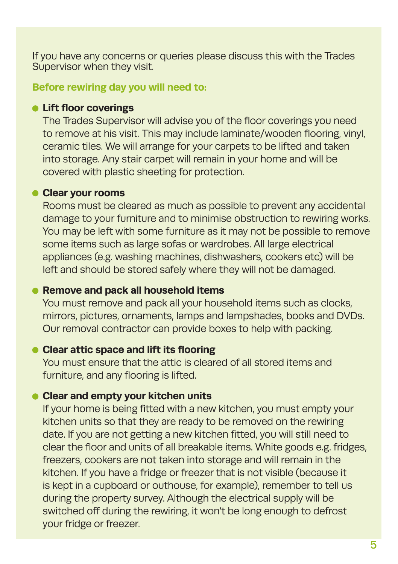If you have any concerns or queries please discuss this with the Trades Supervisor when they visit.

**Before rewiring day you will need to:**

#### **Lift floor coverings**

The Trades Supervisor will advise you of the floor coverings you need to remove at his visit. This may include laminate/wooden flooring, vinyl, ceramic tiles. We will arrange for your carpets to be lifted and taken into storage. Any stair carpet will remain in your home and will be covered with plastic sheeting for protection.

#### **Clear your rooms**

Rooms must be cleared as much as possible to prevent any accidental damage to your furniture and to minimise obstruction to rewiring works. You may be left with some furniture as it may not be possible to remove some items such as large sofas or wardrobes. All large electrical appliances (e.g. washing machines, dishwashers, cookers etc) will be left and should be stored safely where they will not be damaged.

#### **• Remove and pack all household items**

You must remove and pack all your household items such as clocks, mirrors, pictures, ornaments, lamps and lampshades, books and DVDs. Our removal contractor can provide boxes to help with packing.

#### **Clear attic space and lift its flooring**

You must ensure that the attic is cleared of all stored items and furniture, and any flooring is lifted.

#### **Clear and empty your kitchen units**

If your home is being fitted with a new kitchen, you must empty your kitchen units so that they are ready to be removed on the rewiring date. If you are not getting a new kitchen fitted, you will still need to clear the floor and units of all breakable items. White goods e.g. fridges, freezers, cookers are not taken into storage and will remain in the kitchen. If you have a fridge or freezer that is not visible (because it is kept in a cupboard or outhouse, for example), remember to tell us during the property survey. Although the electrical supply will be switched off during the rewiring, it won't be long enough to defrost your fridge or freezer.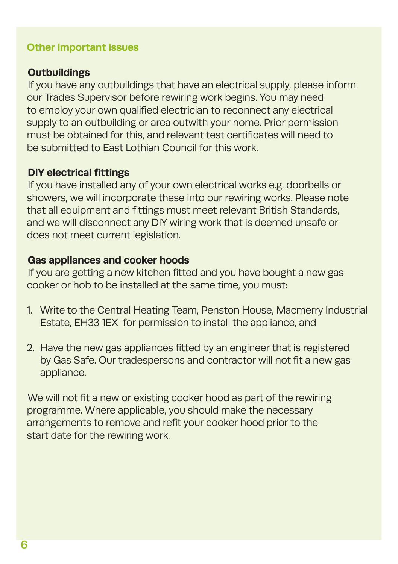#### **Other important issues**

#### **Outbuildings**

If you have any outbuildings that have an electrical supply, please inform our Trades Supervisor before rewiring work begins. You may need to employ your own qualified electrician to reconnect any electrical supply to an outbuilding or area outwith your home. Prior permission must be obtained for this, and relevant test certificates will need to be submitted to East Lothian Council for this work.

#### **DIY electrical fittings**

If you have installed any of your own electrical works e.g. doorbells or showers, we will incorporate these into our rewiring works. Please note that all equipment and fittings must meet relevant British Standards, and we will disconnect any DIY wiring work that is deemed unsafe or does not meet current legislation.

#### **Gas appliances and cooker hoods**

If you are getting a new kitchen fitted and you have bought a new gas cooker or hob to be installed at the same time, you must:

- 1. Write to the Central Heating Team, Penston House, Macmerry Industrial Estate, EH33 1EX for permission to install the appliance, and
- 2. Have the new gas appliances fitted by an engineer that is registered by Gas Safe. Our tradespersons and contractor will not fit a new gas appliance.

We will not fit a new or existing cooker hood as part of the rewiring programme. Where applicable, you should make the necessary arrangements to remove and refit your cooker hood prior to the start date for the rewiring work.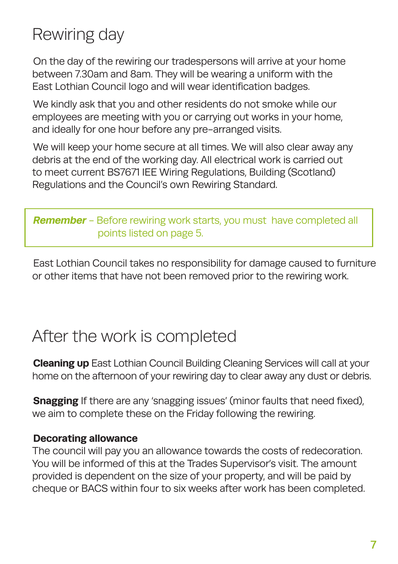# Rewiring day

On the day of the rewiring our tradespersons will arrive at your home between 7.30am and 8am. They will be wearing a uniform with the East Lothian Council logo and will wear identification badges.

We kindly ask that you and other residents do not smoke while our employees are meeting with you or carrying out works in your home, and ideally for one hour before any pre-arranged visits.

We will keep your home secure at all times. We will also clear away any debris at the end of the working day. All electrical work is carried out to meet current BS7671 IEE Wiring Regulations, Building (Scotland) Regulations and the Council's own Rewiring Standard.

#### **Remember** - Before rewiring work starts, you must have completed all points listed on page 5.

East Lothian Council takes no responsibility for damage caused to furniture or other items that have not been removed prior to the rewiring work.

### After the work is completed

**Cleaning up** East Lothian Council Building Cleaning Services will call at your home on the afternoon of your rewiring day to clear away any dust or debris.

**Snagging** If there are any 'snagging issues' (minor faults that need fixed), we aim to complete these on the Friday following the rewiring.

#### **Decorating allowance**

The council will pay you an allowance towards the costs of redecoration. You will be informed of this at the Trades Supervisor's visit. The amount provided is dependent on the size of your property, and will be paid by cheque or BACS within four to six weeks after work has been completed.